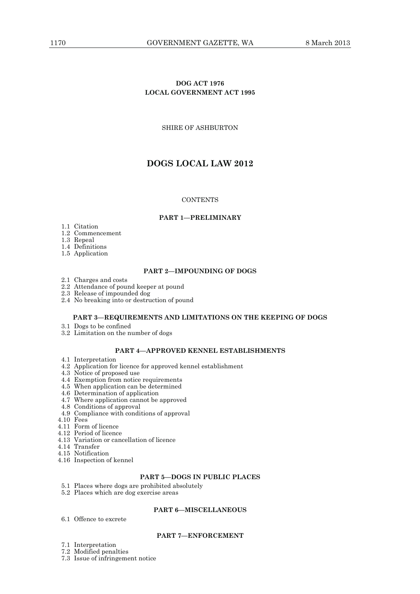# **DOG ACT 1976 LOCAL GOVERNMENT ACT 1995**

# SHIRE OF ASHBURTON

# **DOGS LOCAL LAW 2012**

### **CONTENTS**

### **PART 1—PRELIMINARY**

- 1.1 Citation
- 1.2 Commencement
- 1.3 Repeal
- 1.4 Definitions
- 1.5 Application

### **PART 2—IMPOUNDING OF DOGS**

- 2.1 Charges and costs
- 2.2 Attendance of pound keeper at pound
- 2.3 Release of impounded dog
- 2.4 No breaking into or destruction of pound

### **PART 3—REQUIREMENTS AND LIMITATIONS ON THE KEEPING OF DOGS**

- 3.1 Dogs to be confined
- 3.2 Limitation on the number of dogs

### **PART 4—APPROVED KENNEL ESTABLISHMENTS**

- 4.1 Interpretation
- 4.2 Application for licence for approved kennel establishment
- 4.3 Notice of proposed use
- 4.4 Exemption from notice requirements
- 4.5 When application can be determined
- 4.6 Determination of application
	- 4.7 Where application cannot be approved
	- 4.8 Conditions of approval
	- 4.9 Compliance with conditions of approval
	- 4.10 Fees
	- 4.11 Form of licence
	- 4.12 Period of licence
	- 4.13 Variation or cancellation of licence
	- 4.14 Transfer
	- 4.15 Notification
	- 4.16 Inspection of kennel

# **PART 5—DOGS IN PUBLIC PLACES**

- 5.1 Places where dogs are prohibited absolutely
- 5.2 Places which are dog exercise areas

### **PART 6—MISCELLANEOUS**

6.1 Offence to excrete

# **PART 7—ENFORCEMENT**

- 7.1 Interpretation
- 7.2 Modified penalties
- 7.3 Issue of infringement notice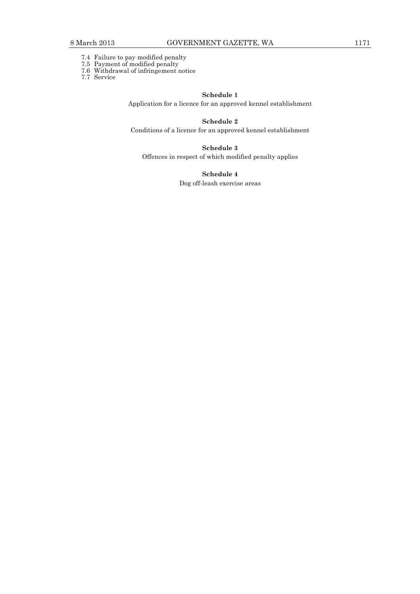- 7.4 Failure to pay modified penalty
- 7.5 Payment of modified penalty
- 7.6 Withdrawal of infringement notice
- 7.7 Service

### **Schedule 1**

Application for a licence for an approved kennel establishment

# **Schedule 2**

Conditions of a licence for an approved kennel establishment

# **Schedule 3**

Offences in respect of which modified penalty applies

**Schedule 4** 

Dog off-leash exercise areas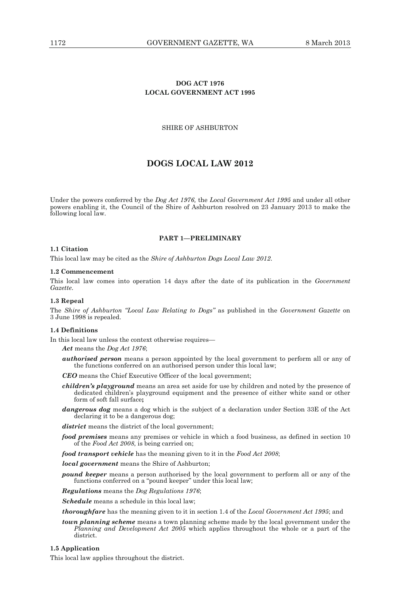# **DOG ACT 1976 LOCAL GOVERNMENT ACT 1995**

### SHIRE OF ASHBURTON

# **DOGS LOCAL LAW 2012**

Under the powers conferred by the *Dog Act 1976,* the *Local Government Act 1995* and under all other powers enabling it, the Council of the Shire of Ashburton resolved on 23 January 2013 to make the following local law.

### **PART 1—PRELIMINARY**

### **1.1 Citation**

This local law may be cited as the *Shire of Ashburton Dogs Local Law 2012*.

#### **1.2 Commencement**

This local law comes into operation 14 days after the date of its publication in the *Government Gazette*.

### **1.3 Repeal**

The *Shire of Ashburton "Local Law Relating to Dogs"* as published in the *Government Gazette* on 3 June 1998 is repealed.

#### **1.4 Definitions**

In this local law unless the context otherwise requires—

*Act* means the *Dog Act 1976*;

- *authorised person* means a person appointed by the local government to perform all or any of the functions conferred on an authorised person under this local law;
- *CEO* means the Chief Executive Officer of the local government;
- *children's playground* means an area set aside for use by children and noted by the presence of dedicated children's playground equipment and the presence of either white sand or other form of soft fall surface**;**
- *dangerous dog* means a dog which is the subject of a declaration under Section 33E of the Act declaring it to be a dangerous dog;

*district* means the district of the local government;

- *food premises* means any premises or vehicle in which a food business, as defined in section 10 of the *Food Act 2008*, is being carried on;
- *food transport vehicle* has the meaning given to it in the *Food Act 2008*;

*local government* means the Shire of Ashburton;

*pound keeper* means a person authorised by the local government to perform all or any of the functions conferred on a "pound keeper" under this local law;

*Regulations* means the *Dog Regulations 1976*;

*Schedule* means a schedule in this local law;

*thoroughfare* has the meaning given to it in section 1.4 of the *Local Government Act 1995*; and

*town planning scheme* means a town planning scheme made by the local government under the *Planning and Development Act 2005* which applies throughout the whole or a part of the district.

### **1.5 Application**

This local law applies throughout the district.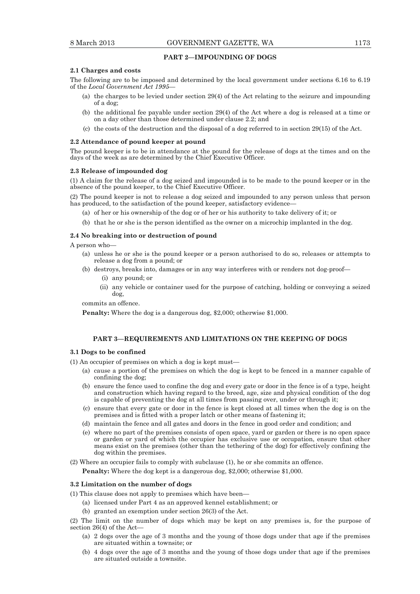### **PART 2—IMPOUNDING OF DOGS**

#### **2.1 Charges and costs**

The following are to be imposed and determined by the local government under sections 6.16 to 6.19 of the *Local Government Act 1995*—

- (a) the charges to be levied under section 29(4) of the Act relating to the seizure and impounding of a dog;
- (b) the additional fee payable under section 29(4) of the Act where a dog is released at a time or on a day other than those determined under clause 2.2; and
- (c) the costs of the destruction and the disposal of a dog referred to in section 29(15) of the Act.

#### **2.2 Attendance of pound keeper at pound**

The pound keeper is to be in attendance at the pound for the release of dogs at the times and on the days of the week as are determined by the Chief Executive Officer.

#### **2.3 Release of impounded dog**

(1) A claim for the release of a dog seized and impounded is to be made to the pound keeper or in the absence of the pound keeper, to the Chief Executive Officer.

(2) The pound keeper is not to release a dog seized and impounded to any person unless that person has produced, to the satisfaction of the pound keeper, satisfactory evidence-

- (a) of her or his ownership of the dog or of her or his authority to take delivery of it; or
- (b) that he or she is the person identified as the owner on a microchip implanted in the dog.

#### **2.4 No breaking into or destruction of pound**

A person who—

- (a) unless he or she is the pound keeper or a person authorised to do so, releases or attempts to release a dog from a pound; or
- (b) destroys, breaks into, damages or in any way interferes with or renders not dog-proof—
	- (i) any pound; or
	- (ii) any vehicle or container used for the purpose of catching, holding or conveying a seized dog,

commits an offence.

**Penalty:** Where the dog is a dangerous dog, \$2,000; otherwise \$1,000.

### **PART 3—REQUIREMENTS AND LIMITATIONS ON THE KEEPING OF DOGS**

#### **3.1 Dogs to be confined**

(1) An occupier of premises on which a dog is kept must—

- (a) cause a portion of the premises on which the dog is kept to be fenced in a manner capable of confining the dog;
- (b) ensure the fence used to confine the dog and every gate or door in the fence is of a type, height and construction which having regard to the breed, age, size and physical condition of the dog is capable of preventing the dog at all times from passing over, under or through it;
- (c) ensure that every gate or door in the fence is kept closed at all times when the dog is on the premises and is fitted with a proper latch or other means of fastening it;
- (d) maintain the fence and all gates and doors in the fence in good order and condition; and
- (e) where no part of the premises consists of open space, yard or garden or there is no open space or garden or yard of which the occupier has exclusive use or occupation, ensure that other means exist on the premises (other than the tethering of the dog) for effectively confining the dog within the premises.

(2) Where an occupier fails to comply with subclause (1), he or she commits an offence.

**Penalty:** Where the dog kept is a dangerous dog, \$2,000; otherwise \$1,000.

### **3.2 Limitation on the number of dogs**

(1) This clause does not apply to premises which have been—

- (a) licensed under Part 4 as an approved kennel establishment; or
- (b) granted an exemption under section 26(3) of the Act.

(2) The limit on the number of dogs which may be kept on any premises is, for the purpose of section 26(4) of the Act—

- (a) 2 dogs over the age of 3 months and the young of those dogs under that age if the premises are situated within a townsite; or
- (b) 4 dogs over the age of 3 months and the young of those dogs under that age if the premises are situated outside a townsite.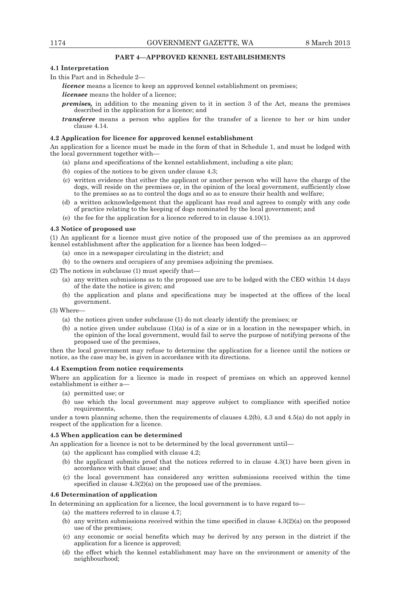### **PART 4—APPROVED KENNEL ESTABLISHMENTS**

#### **4.1 Interpretation**

In this Part and in Schedule 2—

*licence* means a licence to keep an approved kennel establishment on premises;

*licensee* means the holder of a licence;

- *premises,* in addition to the meaning given to it in section 3 of the Act, means the premises described in the application for a licence; and
- *transferee* means a person who applies for the transfer of a licence to her or him under clause 4.14.

#### **4.2 Application for licence for approved kennel establishment**

An application for a licence must be made in the form of that in Schedule 1, and must be lodged with the local government together with—

- (a) plans and specifications of the kennel establishment, including a site plan;
- (b) copies of the notices to be given under clause 4.3;
- (c) written evidence that either the applicant or another person who will have the charge of the dogs, will reside on the premises or, in the opinion of the local government, sufficiently close to the premises so as to control the dogs and so as to ensure their health and welfare;
- (d) a written acknowledgement that the applicant has read and agrees to comply with any code of practice relating to the keeping of dogs nominated by the local government; and
- (e) the fee for the application for a licence referred to in clause 4.10(1).

### **4.3 Notice of proposed use**

(1) An applicant for a licence must give notice of the proposed use of the premises as an approved kennel establishment after the application for a licence has been lodged—

- (a) once in a newspaper circulating in the district; and
- (b) to the owners and occupiers of any premises adjoining the premises.

(2) The notices in subclause (1) must specify that—

- (a) any written submissions as to the proposed use are to be lodged with the CEO within 14 days of the date the notice is given; and
- (b) the application and plans and specifications may be inspected at the offices of the local government.

(3) Where—

- (a) the notices given under subclause (1) do not clearly identify the premises; or
- (b) a notice given under subclause  $(1)(a)$  is of a size or in a location in the newspaper which, in the opinion of the local government, would fail to serve the purpose of notifying persons of the proposed use of the premises,

then the local government may refuse to determine the application for a licence until the notices or notice, as the case may be, is given in accordance with its directions.

#### **4.4 Exemption from notice requirements**

Where an application for a licence is made in respect of premises on which an approved kennel establishment is either a—

- (a) permitted use; or
- (b) use which the local government may approve subject to compliance with specified notice requirements.

under a town planning scheme, then the requirements of clauses 4.2(b), 4.3 and 4.5(a) do not apply in respect of the application for a licence.

### **4.5 When application can be determined**

An application for a licence is not to be determined by the local government until—

- (a) the applicant has complied with clause 4.2;
	- (b) the applicant submits proof that the notices referred to in clause 4.3(1) have been given in accordance with that clause; and
	- (c) the local government has considered any written submissions received within the time specified in clause  $4.3(2)(a)$  on the proposed use of the premises.

#### **4.6 Determination of application**

In determining an application for a licence, the local government is to have regard to

- (a) the matters referred to in clause 4.7;
- (b) any written submissions received within the time specified in clause  $4.3(2)(a)$  on the proposed use of the premises;
- (c) any economic or social benefits which may be derived by any person in the district if the application for a licence is approved;
- (d) the effect which the kennel establishment may have on the environment or amenity of the neighbourhood;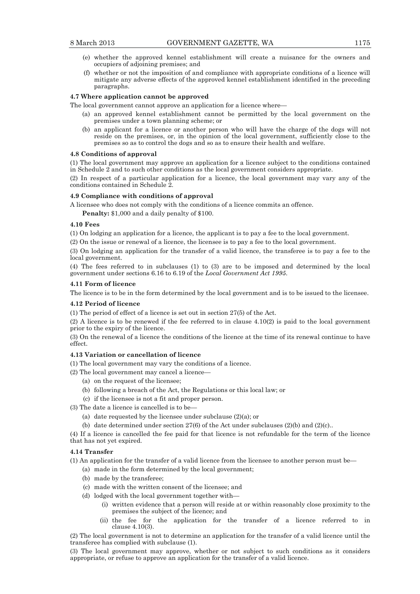- (e) whether the approved kennel establishment will create a nuisance for the owners and occupiers of adjoining premises; and
- (f) whether or not the imposition of and compliance with appropriate conditions of a licence will mitigate any adverse effects of the approved kennel establishment identified in the preceding paragraphs.

#### **4.7 Where application cannot be approved**

The local government cannot approve an application for a licence where—

- (a) an approved kennel establishment cannot be permitted by the local government on the premises under a town planning scheme; or
- (b) an applicant for a licence or another person who will have the charge of the dogs will not reside on the premises, or, in the opinion of the local government, sufficiently close to the premises so as to control the dogs and so as to ensure their health and welfare.

#### **4.8 Conditions of approval**

(1) The local government may approve an application for a licence subject to the conditions contained in Schedule 2 and to such other conditions as the local government considers appropriate.

(2) In respect of a particular application for a licence, the local government may vary any of the conditions contained in Schedule 2.

### **4.9 Compliance with conditions of approval**

A licensee who does not comply with the conditions of a licence commits an offence.

**Penalty:** \$1,000 and a daily penalty of \$100.

### **4.10 Fees**

(1) On lodging an application for a licence, the applicant is to pay a fee to the local government.

(2) On the issue or renewal of a licence, the licensee is to pay a fee to the local government.

(3) On lodging an application for the transfer of a valid licence, the transferee is to pay a fee to the local government.

(4) The fees referred to in subclauses (1) to (3) are to be imposed and determined by the local government under sections 6.16 to 6.19 of the *Local Government Act 1995*.

#### **4.11 Form of licence**

The licence is to be in the form determined by the local government and is to be issued to the licensee.

### **4.12 Period of licence**

(1) The period of effect of a licence is set out in section 27(5) of the Act.

(2) A licence is to be renewed if the fee referred to in clause 4.10(2) is paid to the local government prior to the expiry of the licence.

(3) On the renewal of a licence the conditions of the licence at the time of its renewal continue to have effect.

### **4.13 Variation or cancellation of licence**

(1) The local government may vary the conditions of a licence.

(2) The local government may cancel a licence—

- (a) on the request of the licensee;
- (b) following a breach of the Act, the Regulations or this local law; or
- (c) if the licensee is not a fit and proper person.
- (3) The date a licence is cancelled is to be—
	- (a) date requested by the licensee under subclause (2)(a); or
	- (b) date determined under section  $27(6)$  of the Act under subclauses  $(2)(b)$  and  $(2)(c)$ ...

(4) If a licence is cancelled the fee paid for that licence is not refundable for the term of the licence that has not yet expired.

### **4.14 Transfer**

(1) An application for the transfer of a valid licence from the licensee to another person must be—

- (a) made in the form determined by the local government;
- (b) made by the transferee;
- (c) made with the written consent of the licensee; and
- (d) lodged with the local government together with—
	- (i) written evidence that a person will reside at or within reasonably close proximity to the premises the subject of the licence; and
	- (ii) the fee for the application for the transfer of a licence referred to in clause 4.10(3).

(2) The local government is not to determine an application for the transfer of a valid licence until the transferee has complied with subclause (1).

(3) The local government may approve, whether or not subject to such conditions as it considers appropriate, or refuse to approve an application for the transfer of a valid licence.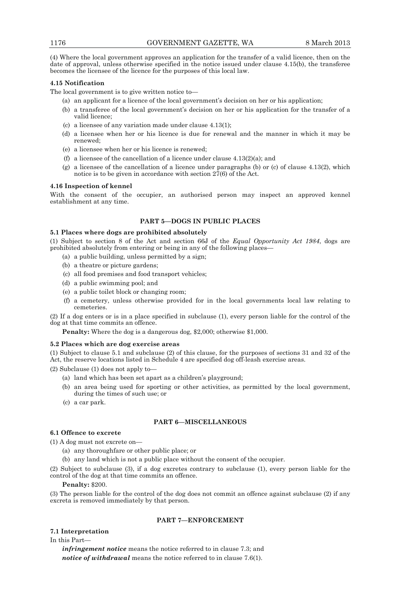(4) Where the local government approves an application for the transfer of a valid licence, then on the date of approval, unless otherwise specified in the notice issued under clause 4.15(b), the transferee becomes the licensee of the licence for the purposes of this local law.

### **4.15 Notification**

The local government is to give written notice to—

- (a) an applicant for a licence of the local government's decision on her or his application;
- (b) a transferee of the local government's decision on her or his application for the transfer of a valid licence;
- (c) a licensee of any variation made under clause 4.13(1);
- (d) a licensee when her or his licence is due for renewal and the manner in which it may be renewed;
- (e) a licensee when her or his licence is renewed;
- (f) a licensee of the cancellation of a licence under clause  $4.13(2)(a)$ ; and
- (g) a licensee of the cancellation of a licence under paragraphs (b) or (c) of clause  $4.13(2)$ , which notice is to be given in accordance with section  $27(6)$  of the Act.

#### **4.16 Inspection of kennel**

With the consent of the occupier, an authorised person may inspect an approved kennel establishment at any time.

### **PART 5—DOGS IN PUBLIC PLACES**

# **5.1 Places where dogs are prohibited absolutely**

(1) Subject to section 8 of the Act and section 66J of the *Equal Opportunity Act 1984*, dogs are prohibited absolutely from entering or being in any of the following places—

- (a) a public building, unless permitted by a sign;
- (b) a theatre or picture gardens;
- (c) all food premises and food transport vehicles;
- (d) a public swimming pool; and
- (e) a public toilet block or changing room;
- (f) a cemetery, unless otherwise provided for in the local governments local law relating to cemeteries.

(2) If a dog enters or is in a place specified in subclause (1), every person liable for the control of the dog at that time commits an offence.

**Penalty:** Where the dog is a dangerous dog, \$2,000; otherwise \$1,000.

### **5.2 Places which are dog exercise areas**

(1) Subject to clause 5.1 and subclause (2) of this clause, for the purposes of sections 31 and 32 of the Act, the reserve locations listed in Schedule 4 are specified dog off-leash exercise areas.

(2) Subclause (1) does not apply to—

- (a) land which has been set apart as a children's playground;
- (b) an area being used for sporting or other activities, as permitted by the local government, during the times of such use; or
- (c) a car park.

# **PART 6—MISCELLANEOUS**

# **6.1 Offence to excrete**

(1) A dog must not excrete on—

- (a) any thoroughfare or other public place; or
- (b) any land which is not a public place without the consent of the occupier.

(2) Subject to subclause (3), if a dog excretes contrary to subclause (1), every person liable for the control of the dog at that time commits an offence.

### **Penalty:** \$200.

(3) The person liable for the control of the dog does not commit an offence against subclause (2) if any excreta is removed immediately by that person.

# **PART 7—ENFORCEMENT**

### **7.1 Interpretation**

In this Part—

*infringement notice* means the notice referred to in clause 7.3; and *notice of withdrawal* means the notice referred to in clause 7.6(1).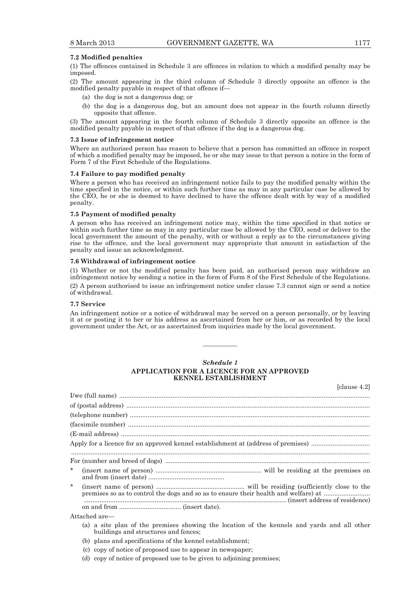#### **7.2 Modified penalties**

(1) The offences contained in Schedule 3 are offences in relation to which a modified penalty may be imposed.

(2) The amount appearing in the third column of Schedule 3 directly opposite an offence is the modified penalty payable in respect of that offence if—

- (a) the dog is not a dangerous dog; or
- (b) the dog is a dangerous dog, but an amount does not appear in the fourth column directly opposite that offence.

(3) The amount appearing in the fourth column of Schedule 3 directly opposite an offence is the modified penalty payable in respect of that offence if the dog is a dangerous dog.

#### **7.3 Issue of infringement notice**

Where an authorised person has reason to believe that a person has committed an offence in respect of which a modified penalty may be imposed, he or she may issue to that person a notice in the form of Form 7 of the First Schedule of the Regulations.

### **7.4 Failure to pay modified penalty**

Where a person who has received an infringement notice fails to pay the modified penalty within the time specified in the notice, or within such further time as may in any particular case be allowed by the CEO, he or she is deemed to have declined to have the offence dealt with by way of a modified penalty.

### **7.5 Payment of modified penalty**

A person who has received an infringement notice may, within the time specified in that notice or within such further time as may in any particular case be allowed by the CEO, send or deliver to the local government the amount of the penalty, with or without a reply as to the circumstances giving rise to the offence, and the local government may appropriate that amount in satisfaction of the penalty and issue an acknowledgment.

#### **7.6 Withdrawal of infringement notice**

(1) Whether or not the modified penalty has been paid, an authorised person may withdraw an infringement notice by sending a notice in the form of Form 8 of the First Schedule of the Regulations. (2) A person authorised to issue an infringement notice under clause 7.3 cannot sign or send a notice of withdrawal.

### **7.7 Service**

An infringement notice or a notice of withdrawal may be served on a person personally, or by leaving it at or posting it to her or his address as ascertained from her or him, or as recorded by the local government under the Act, or as ascertained from inquiries made by the local government.

————

### *Schedule 1*  **APPLICATION FOR A LICENCE FOR AN APPROVED KENNEL ESTABLISHMENT**

[clause 4.2]

|              | Apply for a licence for an approved kennel establishment at (address of premises)                                                                                                                                                               |  |  |  |
|--------------|-------------------------------------------------------------------------------------------------------------------------------------------------------------------------------------------------------------------------------------------------|--|--|--|
|              |                                                                                                                                                                                                                                                 |  |  |  |
| $\pmb{\ast}$ |                                                                                                                                                                                                                                                 |  |  |  |
| $\star$      | premises so as to control the dogs and so as to ensure their health and welfare) at                                                                                                                                                             |  |  |  |
|              |                                                                                                                                                                                                                                                 |  |  |  |
|              | Attached are-                                                                                                                                                                                                                                   |  |  |  |
|              | $\mathcal{L} \setminus \mathcal{L}$ . The state of the state of the state of the state of the state of the state of the state of the state of the state of the state of the state of the state of the state of the state of the state of the st |  |  |  |

- (a) a site plan of the premises showing the location of the kennels and yards and all other buildings and structures and fences;
- (b) plans and specifications of the kennel establishment;
- (c) copy of notice of proposed use to appear in newspaper;
- (d) copy of notice of proposed use to be given to adjoining premises;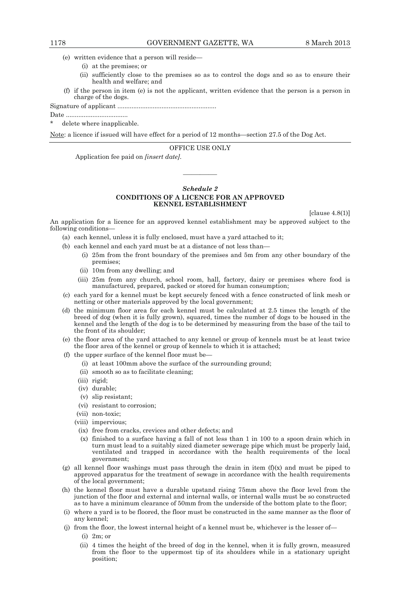- (e) written evidence that a person will reside—
	- (i) at the premises; or
	- (ii) sufficiently close to the premises so as to control the dogs and so as to ensure their health and welfare; and
- (f) if the person in item (e) is not the applicant, written evidence that the person is a person in charge of the dogs.

Signature of applicant ........................................................

Date ...................................

delete where inapplicable.

Note: a licence if issued will have effect for a period of 12 months—section 27.5 of the Dog Act.

#### OFFICE USE ONLY

Application fee paid on *[insert date]*.

### *Schedule 2*  **CONDITIONS OF A LICENCE FOR AN APPROVED KENNEL ESTABLISHMENT**

————

[clause 4.8(1)]

An application for a licence for an approved kennel establishment may be approved subject to the following conditions—

- (a) each kennel, unless it is fully enclosed, must have a yard attached to it;
- (b) each kennel and each yard must be at a distance of not less than—
	- (i) 25m from the front boundary of the premises and 5m from any other boundary of the premises;
	- (ii) 10m from any dwelling; and
	- (iii) 25m from any church, school room, hall, factory, dairy or premises where food is manufactured, prepared, packed or stored for human consumption;
- (c) each yard for a kennel must be kept securely fenced with a fence constructed of link mesh or netting or other materials approved by the local government;
- (d) the minimum floor area for each kennel must be calculated at 2.5 times the length of the breed of dog (when it is fully grown), squared, times the number of dogs to be housed in the kennel and the length of the dog is to be determined by measuring from the base of the tail to the front of its shoulder;
- (e) the floor area of the yard attached to any kennel or group of kennels must be at least twice the floor area of the kennel or group of kennels to which it is attached;
- (f) the upper surface of the kennel floor must be—
	- (i) at least 100mm above the surface of the surrounding ground;
	- (ii) smooth so as to facilitate cleaning;
	- (iii) rigid;
	- (iv) durable;
	- (v) slip resistant;
	- (vi) resistant to corrosion;
	- (vii) non-toxic;
	- (viii) impervious;
	- (ix) free from cracks, crevices and other defects; and
	- (x) finished to a surface having a fall of not less than 1 in 100 to a spoon drain which in turn must lead to a suitably sized diameter sewerage pipe which must be properly laid, ventilated and trapped in accordance with the health requirements of the local government;
- (g) all kennel floor washings must pass through the drain in item  $(f)(x)$  and must be piped to approved apparatus for the treatment of sewage in accordance with the health requirements of the local government;
- (h) the kennel floor must have a durable upstand rising 75mm above the floor level from the junction of the floor and external and internal walls, or internal walls must be so constructed as to have a minimum clearance of 50mm from the underside of the bottom plate to the floor;
- (i) where a yard is to be floored, the floor must be constructed in the same manner as the floor of any kennel;
- (j) from the floor, the lowest internal height of a kennel must be, whichever is the lesser of—
	- (i) 2m; or
	- (ii) 4 times the height of the breed of dog in the kennel, when it is fully grown, measured from the floor to the uppermost tip of its shoulders while in a stationary upright position;